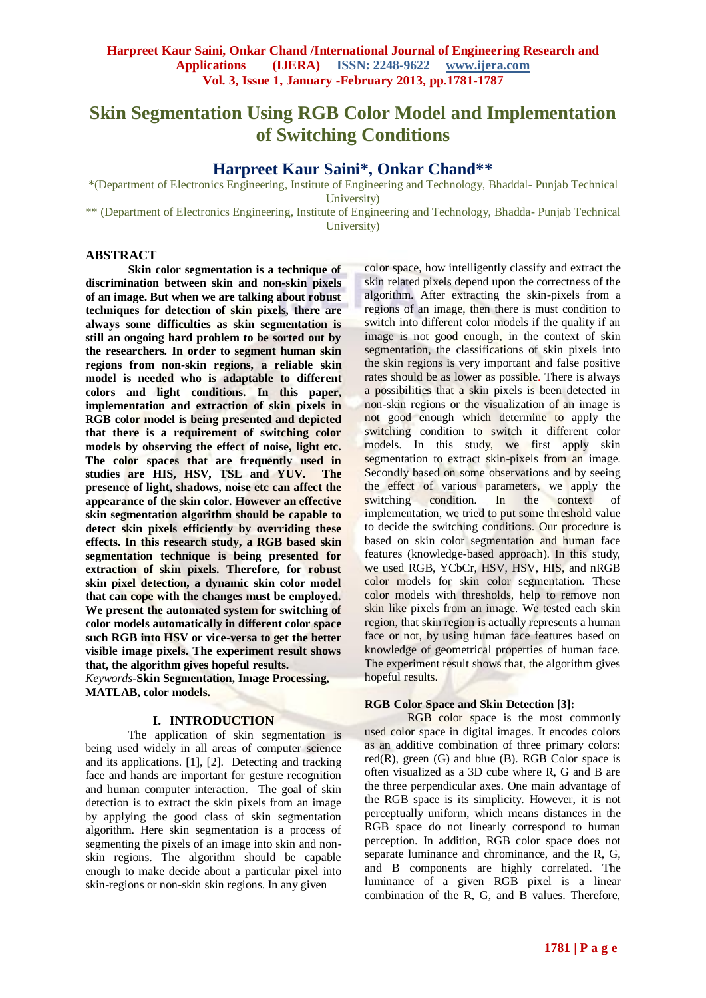## **Skin Segmentation Using RGB Color Model and Implementation of Switching Conditions**

## **Harpreet Kaur Saini\*, Onkar Chand\*\***

\*(Department of Electronics Engineering, Institute of Engineering and Technology, Bhaddal- Punjab Technical University)

\*\* (Department of Electronics Engineering, Institute of Engineering and Technology, Bhadda- Punjab Technical University)

## **ABSTRACT**

**Skin color segmentation is a technique of discrimination between skin and non-skin pixels of an image. But when we are talking about robust techniques for detection of skin pixels, there are always some difficulties as skin segmentation is still an ongoing hard problem to be sorted out by the researchers. In order to segment human skin regions from non-skin regions, a reliable skin model is needed who is adaptable to different colors and light conditions. In this paper, implementation and extraction of skin pixels in RGB color model is being presented and depicted that there is a requirement of switching color models by observing the effect of noise, light etc. The color spaces that are frequently used in studies are HIS, HSV, TSL and YUV. The presence of light, shadows, noise etc can affect the appearance of the skin color. However an effective skin segmentation algorithm should be capable to detect skin pixels efficiently by overriding these effects. In this research study, a RGB based skin segmentation technique is being presented for extraction of skin pixels. Therefore, for robust skin pixel detection, a dynamic skin color model that can cope with the changes must be employed. We present the automated system for switching of color models automatically in different color space such RGB into HSV or vice-versa to get the better visible image pixels. The experiment result shows that, the algorithm gives hopeful results.**

*Keywords***-Skin Segmentation, Image Processing, MATLAB, color models.**

#### **I. INTRODUCTION**

The application of skin segmentation is being used widely in all areas of computer science and its applications. [1], [2]. Detecting and tracking face and hands are important for gesture recognition and human computer interaction. The goal of skin detection is to extract the skin pixels from an image by applying the good class of skin segmentation algorithm. Here skin segmentation is a process of segmenting the pixels of an image into skin and nonskin regions. The algorithm should be capable enough to make decide about a particular pixel into skin-regions or non-skin skin regions. In any given

color space, how intelligently classify and extract the skin related pixels depend upon the correctness of the algorithm. After extracting the skin-pixels from a regions of an image, then there is must condition to switch into different color models if the quality if an image is not good enough, in the context of skin segmentation, the classifications of skin pixels into the skin regions is very important and false positive rates should be as lower as possible. There is always a possibilities that a skin pixels is been detected in non-skin regions or the visualization of an image is not good enough which determine to apply the switching condition to switch it different color models. In this study, we first apply skin segmentation to extract skin-pixels from an image. Secondly based on some observations and by seeing the effect of various parameters, we apply the<br>switching condition. In the context of switching condition. In the context of implementation, we tried to put some threshold value to decide the switching conditions. Our procedure is based on skin color segmentation and human face features (knowledge-based approach). In this study, we used RGB, YCbCr, HSV, HSV, HIS, and nRGB color models for skin color segmentation. These color models with thresholds, help to remove non skin like pixels from an image. We tested each skin region, that skin region is actually represents a human face or not, by using human face features based on knowledge of geometrical properties of human face. The experiment result shows that, the algorithm gives hopeful results.

#### **RGB Color Space and Skin Detection [3]:**

RGB color space is the most commonly used color space in digital images. It encodes colors as an additive combination of three primary colors:  $red(R)$ , green  $(G)$  and blue  $(B)$ . RGB Color space is often visualized as a 3D cube where R, G and B are the three perpendicular axes. One main advantage of the RGB space is its simplicity. However, it is not perceptually uniform, which means distances in the RGB space do not linearly correspond to human perception. In addition, RGB color space does not separate luminance and chrominance, and the R, G, and B components are highly correlated. The luminance of a given RGB pixel is a linear combination of the R, G, and B values. Therefore,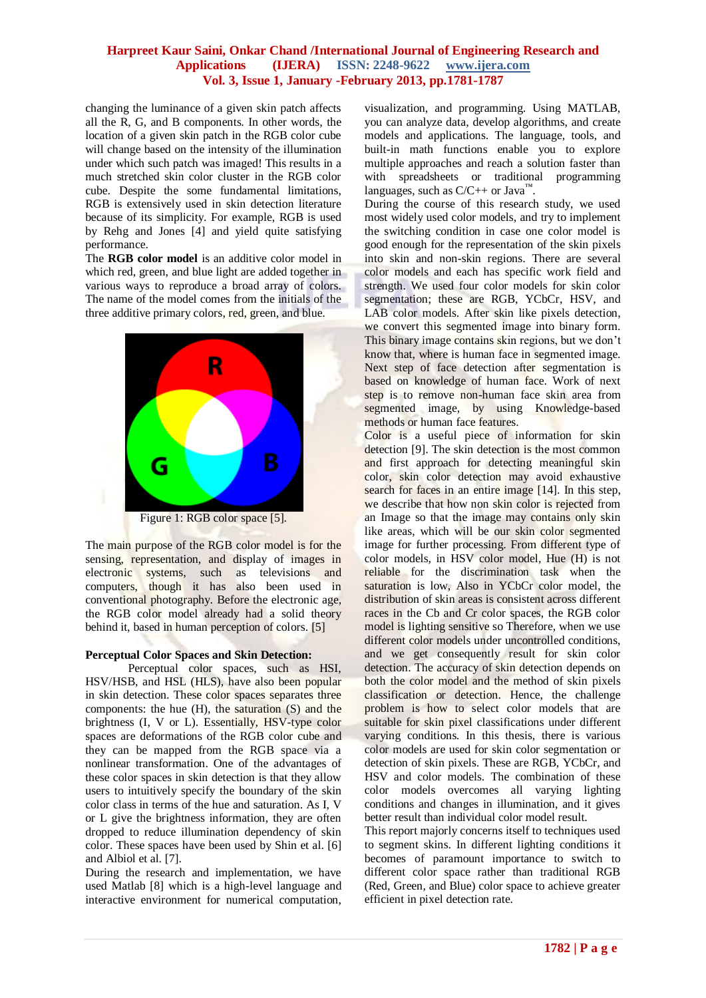changing the luminance of a given skin patch affects all the R, G, and B components. In other words, the location of a given skin patch in the RGB color cube will change based on the intensity of the illumination under which such patch was imaged! This results in a much stretched skin color cluster in the RGB color cube. Despite the some fundamental limitations, RGB is extensively used in skin detection literature because of its simplicity. For example, RGB is used by Rehg and Jones [4] and yield quite satisfying performance.

The **RGB color model** is an [additive](http://en.wikipedia.org/wiki/Additive_color) [color model](http://en.wikipedia.org/wiki/Color_model) in which [red,](http://en.wikipedia.org/wiki/Red) [green,](http://en.wikipedia.org/wiki/Green) and [blue](http://en.wikipedia.org/wiki/Blue) light are added together in various ways to reproduce a broad array of [colors.](http://en.wikipedia.org/wiki/Color) The name of the model comes from the initials of the thre[e additive primary colors,](http://en.wikipedia.org/wiki/Additive_primaries) red, green, and blue.



Figure 1: RGB color space [5].

The main purpose of the RGB color model is for the sensing, representation, and display of images in electronic systems, such as televisions and computers, though it has also been used in conventional [photography.](http://en.wikipedia.org/wiki/Photography) Before the electronic age, the RGB color model already had a solid theory behind it, based in [human perception of colors.](http://en.wikipedia.org/wiki/Trichromacy) [5]

## **Perceptual Color Spaces and Skin Detection:**

Perceptual color spaces, such as HSI, HSV/HSB, and HSL (HLS), have also been popular in skin detection. These color spaces separates three components: the hue (H), the saturation (S) and the brightness (I, V or L). Essentially, HSV-type color spaces are deformations of the RGB color cube and they can be mapped from the RGB space via a nonlinear transformation. One of the advantages of these color spaces in skin detection is that they allow users to intuitively specify the boundary of the skin color class in terms of the hue and saturation. As I, V or L give the brightness information, they are often dropped to reduce illumination dependency of skin color. These spaces have been used by Shin et al. [6] and Albiol et al. [7].

During the research and implementation, we have used Matlab [8] which is a high-level language and interactive environment for numerical computation,

visualization, and programming. Using MATLAB, you can analyze data, develop algorithms, and create models and applications. The language, tools, and built-in math functions enable you to explore multiple approaches and reach a solution faster than with spreadsheets or traditional programming languages, such as  $C/C++$  or Java<sup>™.</sup>

During the course of this research study, we used most widely used color models, and try to implement the switching condition in case one color model is good enough for the representation of the skin pixels into skin and non-skin regions. There are several color models and each has specific work field and strength. We used four color models for skin color segmentation; these are RGB, YCbCr, HSV, and LAB color models. After skin like pixels detection, we convert this segmented image into binary form. This binary image contains skin regions, but we don't know that, where is human face in segmented image. Next step of face detection after segmentation is based on knowledge of human face. Work of next step is to remove non-human face skin area from segmented image, by using Knowledge-based methods or human face features.

Color is a useful piece of information for skin detection [9]. The skin detection is the most common and first approach for detecting meaningful skin color, skin color detection may avoid exhaustive search for faces in an entire image [14]. In this step, we describe that how non skin color is rejected from an Image so that the image may contains only skin like areas, which will be our skin color segmented image for further processing. From different type of color models, in HSV color model, Hue (H) is not reliable for the discrimination task when the saturation is low, Also in YCbCr color model, the distribution of skin areas is consistent across different races in the Cb and Cr color spaces, the RGB color model is lighting sensitive so Therefore, when we use different color models under uncontrolled conditions, and we get consequently result for skin color detection. The accuracy of skin detection depends on both the color model and the method of skin pixels classification or detection. Hence, the challenge problem is how to select color models that are suitable for skin pixel classifications under different varying conditions. In this thesis, there is various color models are used for skin color segmentation or detection of skin pixels. These are RGB, YCbCr, and HSV and color models. The combination of these color models overcomes all varying lighting conditions and changes in illumination, and it gives better result than individual color model result.

This report majorly concerns itself to techniques used to segment skins. In different lighting conditions it becomes of paramount importance to switch to different color space rather than traditional RGB (Red, Green, and Blue) color space to achieve greater efficient in pixel detection rate.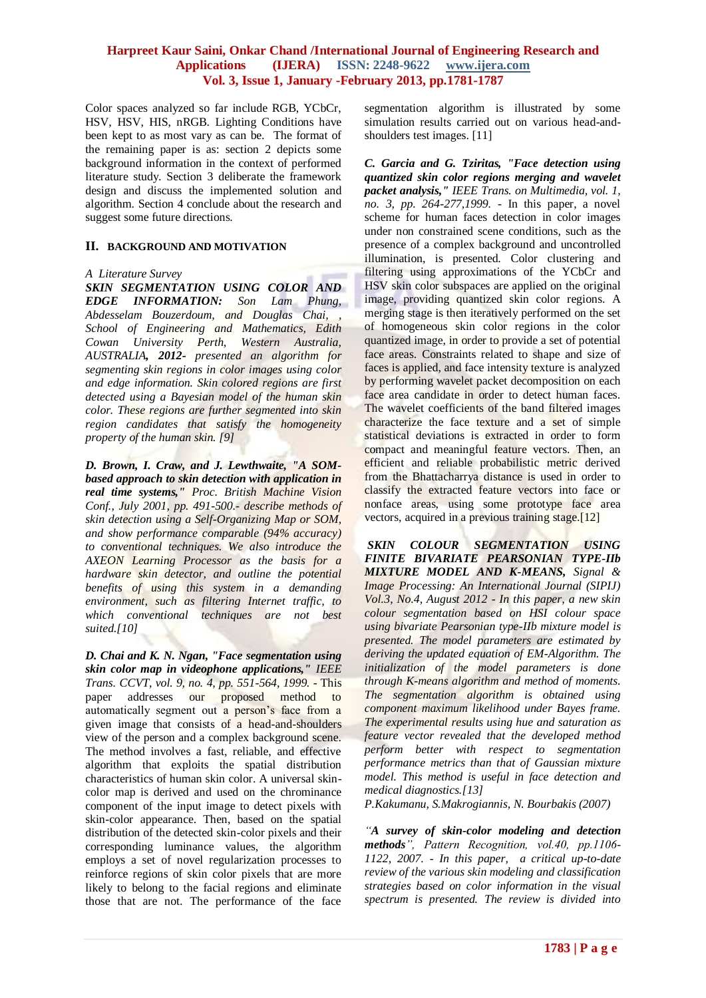Color spaces analyzed so far include RGB, YCbCr, HSV, HSV, HIS, nRGB. Lighting Conditions have been kept to as most vary as can be. The format of the remaining paper is as: section 2 depicts some background information in the context of performed literature study. Section 3 deliberate the framework design and discuss the implemented solution and algorithm. Section 4 conclude about the research and suggest some future directions.

#### **II. BACKGROUND AND MOTIVATION**

#### *A Literature Survey*

*SKIN SEGMENTATION USING COLOR AND EDGE INFORMATION: Son Lam Phung, Abdesselam Bouzerdoum, and Douglas Chai, , School of Engineering and Mathematics, Edith Cowan University Perth, Western Australia, AUSTRALIA, 2012- presented an algorithm for segmenting skin regions in color images using color and edge information. Skin colored regions are first detected using a Bayesian model of the human skin color. These regions are further segmented into skin region candidates that satisfy the homogeneity property of the human skin. [9]*

*D. Brown, I. Craw, and J. Lewthwaite, "A SOMbased approach to skin detection with application in real time systems," Proc. British Machine Vision Conf., July 2001, pp. 491-500.- describe methods of skin detection using a Self-Organizing Map or SOM, and show performance comparable (94% accuracy) to conventional techniques. We also introduce the AXEON Learning Processor as the basis for a hardware skin detector, and outline the potential benefits of using this system in a demanding environment, such as filtering Internet traffic, to which conventional techniques are not best suited.[10]*

*D. Chai and K. N. Ngan, "Face segmentation using skin color map in videophone applications," IEEE Trans. CCVT, vol. 9, no. 4, pp. 551-564, 1999. -* This paper addresses our proposed method to automatically segment out a person's face from a given image that consists of a head-and-shoulders view of the person and a complex background scene. The method involves a fast, reliable, and effective algorithm that exploits the spatial distribution characteristics of human skin color. A universal skincolor map is derived and used on the chrominance component of the input image to detect pixels with skin-color appearance. Then, based on the spatial distribution of the detected skin-color pixels and their corresponding luminance values, the algorithm employs a set of novel regularization processes to reinforce regions of skin color pixels that are more likely to belong to the facial regions and eliminate those that are not. The performance of the face

segmentation algorithm is illustrated by some simulation results carried out on various head-andshoulders test images. [11]

*C. Garcia and G. Tziritas, "Face detection using quantized skin color regions merging and wavelet packet analysis," IEEE Trans. on Multimedia, vol. 1, no. 3, pp. 264-277,1999. -* In this paper, a novel scheme for human faces detection in color images under non constrained scene conditions, such as the presence of a complex background and uncontrolled illumination, is presented. Color clustering and filtering using approximations of the YCbCr and HSV skin color subspaces are applied on the original image, providing quantized skin color regions. A merging stage is then iteratively performed on the set of homogeneous skin color regions in the color quantized image, in order to provide a set of potential face areas. Constraints related to shape and size of faces is applied, and face intensity texture is analyzed by performing wavelet packet decomposition on each face area candidate in order to detect human faces. The wavelet coefficients of the band filtered images characterize the face texture and a set of simple statistical deviations is extracted in order to form compact and meaningful feature vectors. Then, an efficient and reliable probabilistic metric derived from the Bhattacharrya distance is used in order to classify the extracted feature vectors into face or nonface areas, using some prototype face area vectors, acquired in a previous training stage.[12]

*SKIN COLOUR SEGMENTATION USING FINITE BIVARIATE PEARSONIAN TYPE-IIb MIXTURE MODEL AND K-MEANS, Signal & Image Processing: An International Journal (SIPIJ) Vol.3, No.4, August 2012 - In this paper, a new skin colour segmentation based on HSI colour space using bivariate Pearsonian type-IIb mixture model is presented. The model parameters are estimated by deriving the updated equation of EM-Algorithm. The initialization of the model parameters is done through K-means algorithm and method of moments. The segmentation algorithm is obtained using component maximum likelihood under Bayes frame. The experimental results using hue and saturation as feature vector revealed that the developed method perform better with respect to segmentation performance metrics than that of Gaussian mixture model. This method is useful in face detection and medical diagnostics.[13]*

*P.Kakumanu, S.Makrogiannis, N. Bourbakis (2007)* 

*"A survey of skin-color modeling and detection methods", Pattern Recognition, vol.40, pp.1106- 1122, 2007. - In this paper, a critical up-to-date review of the various skin modeling and classification strategies based on color information in the visual spectrum is presented. The review is divided into*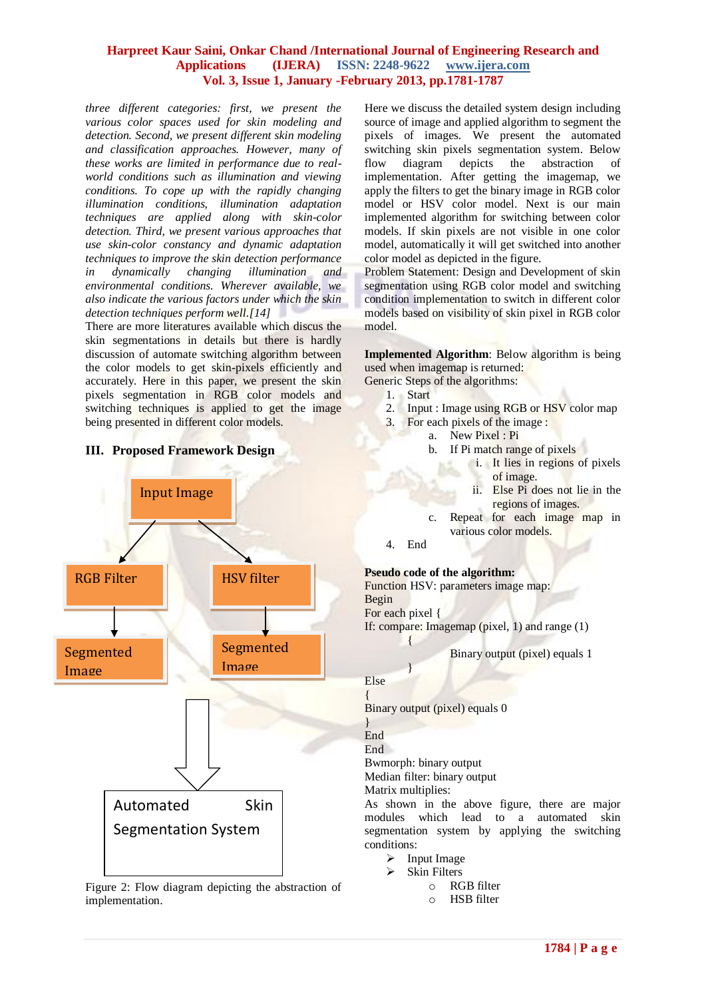*three different categories: first, we present the various color spaces used for skin modeling and detection. Second, we present different skin modeling and classification approaches. However, many of these works are limited in performance due to realworld conditions such as illumination and viewing conditions. To cope up with the rapidly changing illumination conditions, illumination adaptation techniques are applied along with skin-color detection. Third, we present various approaches that use skin-color constancy and dynamic adaptation techniques to improve the skin detection performance in dynamically changing illumination and environmental conditions. Wherever available, we also indicate the various factors under which the skin detection techniques perform well.[14]*

There are more literatures available which discus the skin segmentations in details but there is hardly discussion of automate switching algorithm between the color models to get skin-pixels efficiently and accurately. Here in this paper, we present the skin pixels segmentation in RGB color models and switching techniques is applied to get the image being presented in different color models.

## **III. Proposed Framework Design**



Figure 2: Flow diagram depicting the abstraction of implementation.

Here we discuss the detailed system design including source of image and applied algorithm to segment the pixels of images. We present the automated switching skin pixels segmentation system. Below flow diagram depicts the abstraction of implementation. After getting the imagemap, we apply the filters to get the binary image in RGB color model or HSV color model. Next is our main implemented algorithm for switching between color models. If skin pixels are not visible in one color model, automatically it will get switched into another color model as depicted in the figure.

Problem Statement: Design and Development of skin segmentation using RGB color model and switching condition implementation to switch in different color models based on visibility of skin pixel in RGB color model.

**Implemented Algorithm**: Below algorithm is being used when imagemap is returned: Generic Steps of the algorithms:

- 1. Start
- 2. Input : Image using RGB or HSV color map
- 3. For each pixels of the image :
	- a. New Pixel : Pi
		- b. If Pi match range of pixels
			- i. It lies in regions of pixels of image.
				- ii. Else Pi does not lie in the regions of images.
	- c. Repeat for each image map in various color models.
- 4. End

## **Pseudo code of the algorithm:**

Function HSV: parameters image map: Begin

For each pixel {

{

}

If: compare: Imagemap (pixel, 1) and range (1)

Binary output (pixel) equals 1

## Else

{ Binary output (pixel) equals 0

} End

**End** 

Bwmorph: binary output

Median filter: binary output

Matrix multiplies:

As shown in the above figure, there are major modules which lead to a automated skin segmentation system by applying the switching conditions:

- $\triangleright$  Input Image
- Skin Filters
	- o RGB filter
		- o HSB filter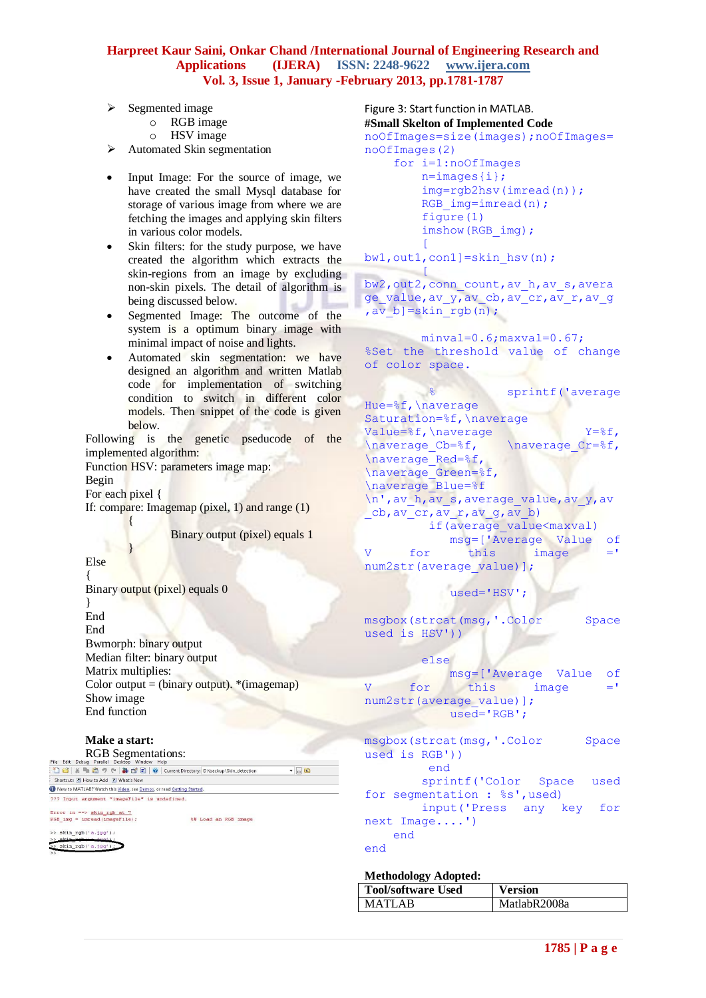- $\triangleright$  Segmented image
	- o RGB image
	- o HSV image
- Automated Skin segmentation
- Input Image: For the source of image, we have created the small Mysql database for storage of various image from where we are fetching the images and applying skin filters in various color models.
- Skin filters: for the study purpose, we have created the algorithm which extracts the skin-regions from an image by excluding non-skin pixels. The detail of algorithm is being discussed below.
- Segmented Image: The outcome of the system is a optimum binary image with minimal impact of noise and lights.
- Automated skin segmentation: we have designed an algorithm and written Matlab code for implementation of switching condition to switch in different color models. Then snippet of the code is given below.

Following is the genetic pseducode of the implemented algorithm:

Function HSV: parameters image map: Begin For each pixel {

If: compare: Imagemap (pixel, 1) and range (1)

Binary output (pixel) equals 1

Else

{

}

{ Binary output (pixel) equals 0 } End End Bwmorph: binary output Median filter: binary output Matrix multiplies: Color output = (binary output).  $*(\text{imagemap})$ Show image End function

#### **Make a start:**  RGB Segmentations:

|  |  |                                              |  | <u>rop</u> positional                                               |                                                                      |                       |  |
|--|--|----------------------------------------------|--|---------------------------------------------------------------------|----------------------------------------------------------------------|-----------------------|--|
|  |  | ile Edit Debug Parallel Desktop Window Help  |  |                                                                     |                                                                      |                       |  |
|  |  |                                              |  |                                                                     | 18 % h 2 ウ ( 本 ゴ ヨ   O   Current Directory: D:\backup\Skin_detection | $\cdot$ $\Box$ $\Box$ |  |
|  |  | Shortcuts <b>El How to Add El What's New</b> |  |                                                                     |                                                                      |                       |  |
|  |  |                                              |  | New to MATI AR? Watch this Video see Demos or read Getting Started. |                                                                      |                       |  |

\$# Load an RGB image

??? Input argument "imageFile" is undefined.

Error in ==>  $\frac{\text{skin rgb at 7}}{\text{RGB img}}$ <br>RGB img = imread(imageFile);

## $\gg$  skin\_rgb('a.jpg');

skin\_rgb('a.jpg');

#### Figure 3: Start function in MATLAB. **#Small Skelton of Implemented Code**

```
noOfImages=size(images);noOfImages=
noOfImages(2)
     for i=1:noOfImages
```

```
 n=images{i};
         img=rgb2hsv(imread(n));
        RGB img=imread(n);
        figure(1)imshow(RGB_imq);
[10] [10] [10]
```

```
bw1, out1, con1]=skin hsv(n);
```
**Figure 1999** bw2, out2, conn count, av h, av s, avera ge\_value, av\_y, av\_cb, av\_cr, av\_r, av\_g , av  $b$ ]=skin $r$ gb(n);

 minval=0.6;maxval=0.67; %Set the threshold value of change of color space.

```
 % sprintf('average 
Hue=%f,\naverage 
Saturation=%f,\naverage 
Value=%f, \naverage Y=%f,
\naverage_Cb=%f, \naverage_Cr=%f, 
\naverage_Red=%f, 
\naverage_Green=%f, 
\naverage_Blue=%f 
\n', av h, av s, average value, av y, av
cb, av cr, av r, av g, av b)
         if(average_value<maxval)
            msg=['Average Value of 
V for this image ='
num2str(average_value)];
```
used='HSV';

msgbox(strcat(msg,'.Color Space used is HSV'))

```
 else
           msg=['Average Value of 
V for this image ='
num2str(average_value)];
           used='RGB';
```
msgbox(strcat(msg,'.Color Space used is RGB'))

```
 end
        sprintf('Color Space used 
for segmentation : %s',used)
        input('Press any key for
```

```
next Image....')
     end
```
## end

#### **Methodology Adopted:**

| <b>Tool/software Used</b> | <b>Version</b> |  |  |
|---------------------------|----------------|--|--|
| <b>MATLAR</b>             | MatlabR2008a   |  |  |